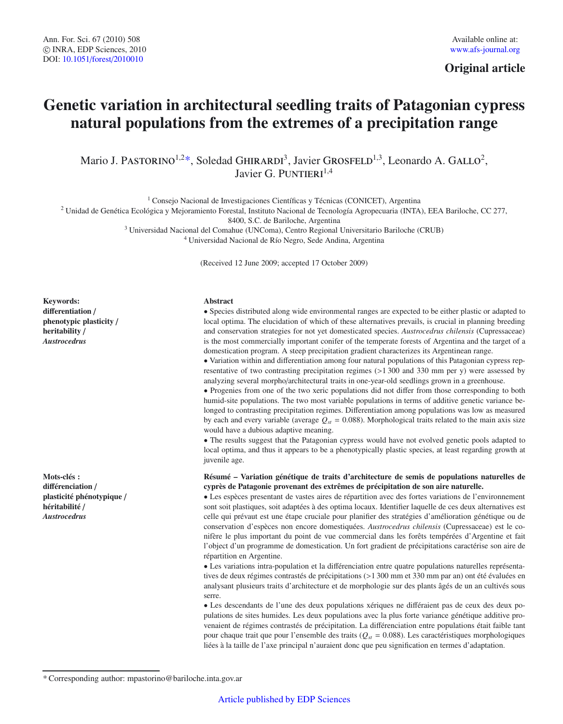**Original article**

# **Genetic variation in architectural seedling traits of Patagonian cypress natural populations from the extremes of a precipitation range**

Mario J. PASTORINO<sup>1,2\*</sup>, Soledad GHIRARDI<sup>3</sup>, Javier GROSFELD<sup>1,3</sup>, Leonardo A. GALLO<sup>2</sup>, Javier G. PUNTIERI $^{1,4}$ 

<sup>1</sup> Consejo Nacional de Investigaciones Científicas y Técnicas (CONICET), Argentina

<sup>2</sup> Unidad de Genética Ecológica y Mejoramiento Forestal, Instituto Nacional de Tecnología Agropecuaria (INTA), EEA Bariloche, CC 277,

8400, S.C. de Bariloche, Argentina

<sup>3</sup> Universidad Nacional del Comahue (UNComa), Centro Regional Universitario Bariloche (CRUB)

<sup>4</sup> Universidad Nacional de Río Negro, Sede Andina, Argentina

(Received 12 June 2009; accepted 17 October 2009)

**Keywords: di**ff**erentiation** / **phenotypic plasticity** / **heritability** / *Austrocedrus*

**Mots-clés : di**ff**érenciation** / **plasticité phénotypique** / **héritabilité** / *Austrocedrus*

#### **Abstract**

• Species distributed along wide environmental ranges are expected to be either plastic or adapted to local optima. The elucidation of which of these alternatives prevails, is crucial in planning breeding and conservation strategies for not yet domesticated species. *Austrocedrus chilensis* (Cupressaceae) is the most commercially important conifer of the temperate forests of Argentina and the target of a domestication program. A steep precipitation gradient characterizes its Argentinean range.

• Variation within and differentiation among four natural populations of this Patagonian cypress representative of two contrasting precipitation regimes (>1 300 and 330 mm per y) were assessed by analyzing several morpho/architectural traits in one-year-old seedlings grown in a greenhouse.

• Progenies from one of the two xeric populations did not differ from those corresponding to both humid-site populations. The two most variable populations in terms of additive genetic variance belonged to contrasting precipitation regimes. Differentiation among populations was low as measured by each and every variable (average  $Q_{st} = 0.088$ ). Morphological traits related to the main axis size would have a dubious adaptive meaning.

• The results suggest that the Patagonian cypress would have not evolved genetic pools adapted to local optima, and thus it appears to be a phenotypically plastic species, at least regarding growth at juvenile age.

#### **Résumé – Variation génétique de traits d'architecture de semis de populations naturelles de cyprès de Patagonie provenant des extrêmes de précipitation de son aire naturelle.**

• Les espèces presentant de vastes aires de répartition avec des fortes variations de l'environnement sont soit plastiques, soit adaptées à des optima locaux. Identifier laquelle de ces deux alternatives est celle qui prévaut est une étape cruciale pour planifier des stratégies d'amélioration génétique ou de conservation d'espèces non encore domestiquées. *Austrocedrus chilensis* (Cupressaceae) est le conifère le plus important du point de vue commercial dans les forêts tempérées d'Argentine et fait l'object d'un programme de domestication. Un fort gradient de précipitations caractérise son aire de répartition en Argentine.

• Les variations intra-population et la différenciation entre quatre populations naturelles représentatives de deux régimes contrastés de précipitations (>1 300 mm et 330 mm par an) ont été évaluées en analysant plusieurs traits d'architecture et de morphologie sur des plants âgés de un an cultivés sous serre.

• Les descendants de l'une des deux populations xériques ne différaient pas de ceux des deux populations de sites humides. Les deux populations avec la plus forte variance génétique additive provenaient de régimes contrastés de précipitation. La différenciation entre populations était faible tant pour chaque trait que pour l'ensemble des traits (*Qst* = 0.088). Les caractéristiques morphologiques liées à la taille de l'axe principal n'auraient donc que peu signification en termes d'adaptation.

<sup>\*</sup> Corresponding author: mpastorino@bariloche.inta.gov.ar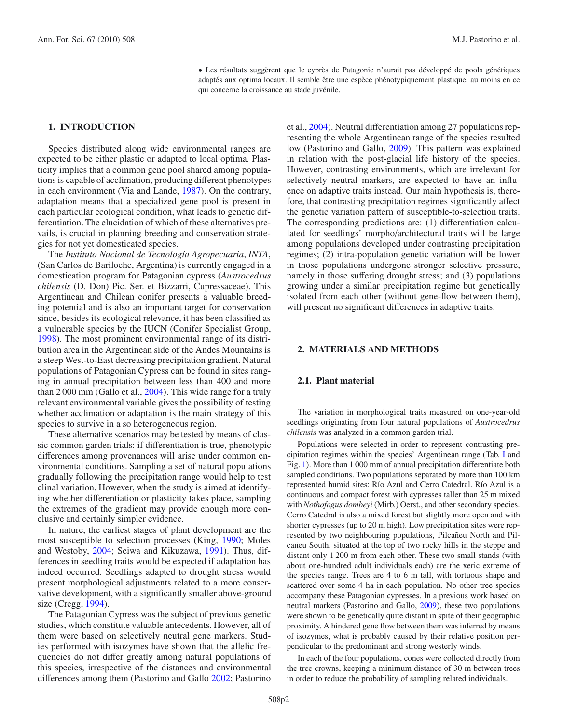• Les résultats suggèrent que le cyprès de Patagonie n'aurait pas développé de pools génétiques adaptés aux optima locaux. Il semble être une espèce phénotypiquement plastique, au moins en ce qui concerne la croissance au stade juvénile.

#### **1. INTRODUCTION**

Species distributed along wide environmental ranges are expected to be either plastic or adapted to local optima. Plasticity implies that a common gene pool shared among populations is capable of acclimation, producing different phenotypes in each environment (Via and Lande, [1987](#page-9-0)). On the contrary, adaptation means that a specialized gene pool is present in each particular ecological condition, what leads to genetic differentiation. The elucidation of which of these alternatives prevails, is crucial in planning breeding and conservation strategies for not yet domesticated species.

The *Instituto Nacional de Tecnología Agropecuaria*, *INTA*, (San Carlos de Bariloche, Argentina) is currently engaged in a domestication program for Patagonian cypress (*Austrocedrus chilensis* (D. Don) Pic. Ser. et Bizzarri, Cupressaceae). This Argentinean and Chilean conifer presents a valuable breeding potential and is also an important target for conservation since, besides its ecological relevance, it has been classified as a vulnerable species by the IUCN (Conifer Specialist Group, [1998\)](#page-8-0). The most prominent environmental range of its distribution area in the Argentinean side of the Andes Mountains is a steep West-to-East decreasing precipitation gradient. Natural populations of Patagonian Cypress can be found in sites ranging in annual precipitation between less than 400 and more than 2 000 mm (Gallo et al., [2004\)](#page-8-1). This wide range for a truly relevant environmental variable gives the possibility of testing whether acclimation or adaptation is the main strategy of this species to survive in a so heterogeneous region.

These alternative scenarios may be tested by means of classic common garden trials: if differentiation is true, phenotypic differences among provenances will arise under common environmental conditions. Sampling a set of natural populations gradually following the precipitation range would help to test clinal variation. However, when the study is aimed at identifying whether differentiation or plasticity takes place, sampling the extremes of the gradient may provide enough more conclusive and certainly simpler evidence.

In nature, the earliest stages of plant development are the most susceptible to selection processes (King, [1990;](#page-8-2) Moles and Westoby, [2004;](#page-9-1) Seiwa and Kikuzawa, [1991\)](#page-9-2). Thus, differences in seedling traits would be expected if adaptation has indeed occurred. Seedlings adapted to drought stress would present morphological adjustments related to a more conservative development, with a significantly smaller above-ground size (Cregg, [1994](#page-8-3)).

The Patagonian Cypress was the subject of previous genetic studies, which constitute valuable antecedents. However, all of them were based on selectively neutral gene markers. Studies performed with isozymes have shown that the allelic frequencies do not differ greatly among natural populations of this species, irrespective of the distances and environmental differences among them (Pastorino and Gallo [2002;](#page-9-3) Pastorino et al., [2004\)](#page-9-4). Neutral differentiation among 27 populations representing the whole Argentinean range of the species resulted low (Pastorino and Gallo, [2009\)](#page-9-5). This pattern was explained in relation with the post-glacial life history of the species. However, contrasting environments, which are irrelevant for selectively neutral markers, are expected to have an influence on adaptive traits instead. Our main hypothesis is, therefore, that contrasting precipitation regimes significantly affect the genetic variation pattern of susceptible-to-selection traits. The corresponding predictions are: (1) differentiation calculated for seedlings' morpho/architectural traits will be large among populations developed under contrasting precipitation regimes; (2) intra-population genetic variation will be lower in those populations undergone stronger selective pressure, namely in those suffering drought stress; and (3) populations growing under a similar precipitation regime but genetically isolated from each other (without gene-flow between them), will present no significant differences in adaptive traits.

## **2. MATERIALS AND METHODS**

#### **2.1. Plant material**

The variation in morphological traits measured on one-year-old seedlings originating from four natural populations of *Austrocedrus chilensis* was analyzed in a common garden trial.

Populations were selected in order to represent contrasting precipitation regimes within the species' Argentinean range (Tab. [I](#page-2-0) and Fig. [1\)](#page-2-1). More than 1 000 mm of annual precipitation differentiate both sampled conditions. Two populations separated by more than 100 km represented humid sites: Río Azul and Cerro Catedral. Río Azul is a continuous and compact forest with cypresses taller than 25 m mixed with *Nothofagus dombeyi* (Mirb.) Oerst., and other secondary species. Cerro Catedral is also a mixed forest but slightly more open and with shorter cypresses (up to 20 m high). Low precipitation sites were represented by two neighbouring populations, Pilcañeu North and Pilcañeu South, situated at the top of two rocky hills in the steppe and distant only 1 200 m from each other. These two small stands (with about one-hundred adult individuals each) are the xeric extreme of the species range. Trees are 4 to 6 m tall, with tortuous shape and scattered over some 4 ha in each population. No other tree species accompany these Patagonian cypresses. In a previous work based on neutral markers (Pastorino and Gallo, [2009](#page-9-5)), these two populations were shown to be genetically quite distant in spite of their geographic proximity. A hindered gene flow between them was inferred by means of isozymes, what is probably caused by their relative position perpendicular to the predominant and strong westerly winds.

In each of the four populations, cones were collected directly from the tree crowns, keeping a minimum distance of 30 m between trees in order to reduce the probability of sampling related individuals.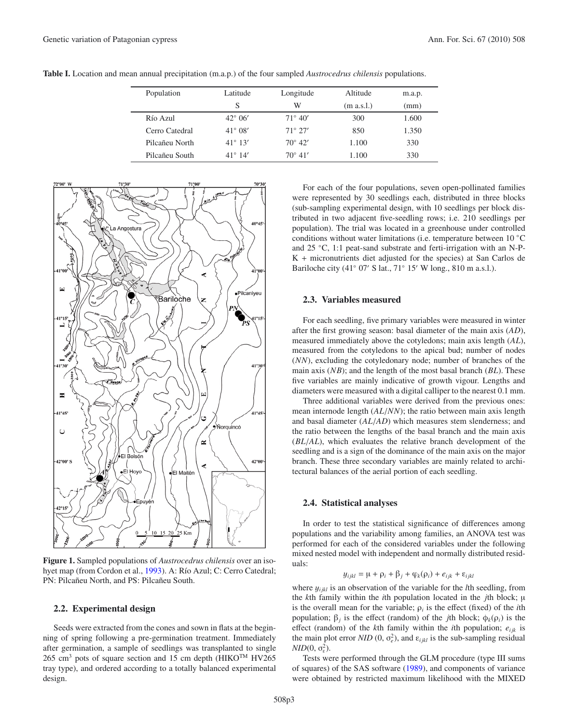| Population     | Latitude         | Longitude         | Altitude   | m.a.p. |
|----------------|------------------|-------------------|------------|--------|
|                | S                | W                 | (m a.s.l.) | (mm)   |
| Río Azul       | $42^{\circ} 06'$ | $71^{\circ} 40'$  | 300        | 1.600  |
| Cerro Catedral | $41^{\circ}08'$  | $71^{\circ}$ 2.7' | 850        | 1.350  |
| Pilcañeu North | $41^{\circ}$ 13' | $70^{\circ} 42'$  | 1.100      | 330    |
| Pilcañeu South | $41^{\circ}$ 14' | $70^{\circ}$ 41'  | 1.100      | 330    |

<span id="page-2-0"></span>**Table I.** Location and mean annual precipitation (m.a.p.) of the four sampled *Austrocedrus chilensis* populations.



<span id="page-2-1"></span>**Figure 1.** Sampled populations of *Austrocedrus chilensis* over an isohyet map (from Cordon et al., [1993](#page-8-4)). A: Río Azul; C: Cerro Catedral; PN: Pilcañeu North, and PS: Pilcañeu South.

#### **2.2. Experimental design**

Seeds were extracted from the cones and sown in flats at the beginning of spring following a pre-germination treatment. Immediately after germination, a sample of seedlings was transplanted to single 265 cm<sup>3</sup> pots of square section and 15 cm depth (HIKO<sup>TM</sup> HV265 tray type), and ordered according to a totally balanced experimental design.

For each of the four populations, seven open-pollinated families were represented by 30 seedlings each, distributed in three blocks (sub-sampling experimental design, with 10 seedlings per block distributed in two adjacent five-seedling rows; i.e. 210 seedlings per population). The trial was located in a greenhouse under controlled conditions without water limitations (i.e. temperature between 10 ◦C and 25 ◦C, 1:1 peat-sand substrate and ferti-irrigation with an N-P-K + micronutrients diet adjusted for the species) at San Carlos de Bariloche city (41° 07′ S lat., 71° 15′ W long., 810 m a.s.l.).

## **2.3. Variables measured**

For each seedling, five primary variables were measured in winter after the first growing season: basal diameter of the main axis (*AD*), measured immediately above the cotyledons; main axis length (*AL*), measured from the cotyledons to the apical bud; number of nodes (*NN*), excluding the cotyledonary node; number of branches of the main axis (*NB*); and the length of the most basal branch (*BL*). These five variables are mainly indicative of growth vigour. Lengths and diameters were measured with a digital calliper to the nearest 0.1 mm.

Three additional variables were derived from the previous ones: mean internode length (*AL*/*NN*); the ratio between main axis length and basal diameter (*AL*/*AD*) which measures stem slenderness; and the ratio between the lengths of the basal branch and the main axis (*BL*/*AL*), which evaluates the relative branch development of the seedling and is a sign of the dominance of the main axis on the major branch. These three secondary variables are mainly related to architectural balances of the aerial portion of each seedling.

#### **2.4. Statistical analyses**

In order to test the statistical significance of differences among populations and the variability among families, an ANOVA test was performed for each of the considered variables under the following mixed nested model with independent and normally distributed residuals:

$$
y_{ijkl} = \mu + \rho_i + \beta_j + \varphi_k(\rho_i) + e_{ijk} + \varepsilon_{ijkl}
$$

where y*i jkl* is an observation of the variable for the *l*th seedling, from the *k*th family within the *i*th population located in the *j*th block; μ is the overall mean for the variable; ρ*<sup>i</sup>* is the effect (fixed) of the *i*th population;  $\beta_i$  is the effect (random) of the *j*th block;  $\phi_k(\rho_i)$  is the effect (random) of the *k*th family within the *i*th population;  $e_{ijk}$  is the main plot error *NID* (0,  $\sigma_e^2$ ), and  $\varepsilon_{ijkl}$  is the sub-sampling residual  $NID(0, \sigma_{\varepsilon}^2)$ .

Tests were performed through the GLM procedure (type III sums of squares) of the SAS software [\(1989](#page-9-6)), and components of variance were obtained by restricted maximum likelihood with the MIXED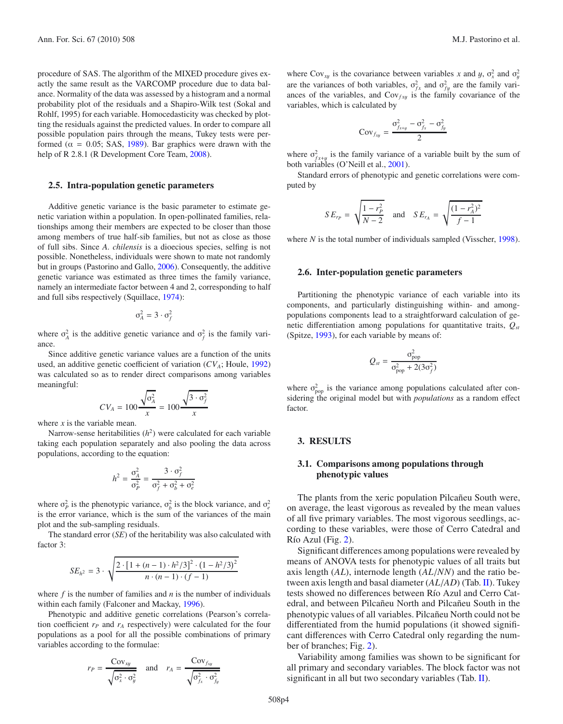procedure of SAS. The algorithm of the MIXED procedure gives exactly the same result as the VARCOMP procedure due to data balance. Normality of the data was assessed by a histogram and a normal probability plot of the residuals and a Shapiro-Wilk test (Sokal and Rohlf, 1995) for each variable. Homocedasticity was checked by plotting the residuals against the predicted values. In order to compare all possible population pairs through the means, Tukey tests were performed ( $\alpha = 0.05$ ; SAS, [1989](#page-9-6)). Bar graphics were drawn with the help of R 2.8.1 (R Development Core Team, [2008\)](#page-9-7).

#### **2.5. Intra-population genetic parameters**

Additive genetic variance is the basic parameter to estimate genetic variation within a population. In open-pollinated families, relationships among their members are expected to be closer than those among members of true half-sib families, but not as close as those of full sibs. Since *A. chilensis* is a dioecious species, selfing is not possible. Nonetheless, individuals were shown to mate not randomly but in groups (Pastorino and Gallo, [2006](#page-9-8)). Consequently, the additive genetic variance was estimated as three times the family variance, namely an intermediate factor between 4 and 2, corresponding to half and full sibs respectively (Squillace, [1974\)](#page-9-9):

$$
\sigma_A^2 = 3 \cdot \sigma_f^2
$$

where  $\sigma_A^2$  is the additive genetic variance and  $\sigma_f^2$  is the family variance.

Since additive genetic variance values are a function of the units used, an additive genetic coefficient of variation  $(CV_A; Houle, 1992)$  $(CV_A; Houle, 1992)$  $(CV_A; Houle, 1992)$ was calculated so as to render direct comparisons among variables meaningful:

$$
CV_A = 100 \frac{\sqrt{\sigma_A^2}}{x} = 100 \frac{\sqrt{3 \cdot \sigma_f^2}}{x}
$$

where *x* is the variable mean.

Narrow-sense heritabilities  $(h^2)$  were calculated for each variable taking each population separately and also pooling the data across populations, according to the equation:

$$
h^{2} = \frac{\sigma_{A}^{2}}{\sigma_{P}^{2}} = \frac{3 \cdot \sigma_{f}^{2}}{\sigma_{f}^{2} + \sigma_{b}^{2} + \sigma_{e}^{2}}
$$

where  $\sigma_p^2$  is the phenotypic variance,  $\sigma_b^2$  is the block variance, and  $\sigma_e^2$ is the error variance, which is the sum of the variances of the main plot and the sub-sampling residuals.

The standard error (*SE*) of the heritability was also calculated with factor 3:

$$
SE_{h^2} = 3 \cdot \sqrt{\frac{2 \cdot [1 + (n-1) \cdot h^2/3]^2 \cdot (1 - h^2/3)^2}{n \cdot (n-1) \cdot (f-1)}}
$$

where  $f$  is the number of families and  $n$  is the number of individuals within each family (Falconer and Mackay, [1996](#page-8-6)).

Phenotypic and additive genetic correlations (Pearson's correlation coefficient  $r_P$  and  $r_A$  respectively) were calculated for the four populations as a pool for all the possible combinations of primary variables according to the formulae:

$$
r_P = \frac{\text{Cov}_{xy}}{\sqrt{\sigma_x^2 \cdot \sigma_y^2}} \quad \text{and} \quad r_A = \frac{\text{Cov}_{fxy}}{\sqrt{\sigma_{f_x}^2 \cdot \sigma_{f_y}^2}}
$$

where Cov<sub>*xy*</sub> is the covariance between variables *x* and *y*,  $\sigma_x^2$  and  $\sigma_y^2$ are the variances of both variables,  $\sigma_{fx}^2$  and  $\sigma_{fy}^2$  are the family variances of the variables, and Cov<sub>fxy</sub> is the family covariance of the variables, which is calculated by

$$
Cov_{f_{xy}} = \frac{\sigma_{f_{x+y}}^2 - \sigma_{f_x}^2 - \sigma_{f_y}^2}{2}
$$

where  $\sigma_{f_{x+y}}^2$  is the family variance of a variable built by the sum of both variables (O'Neill et al., [2001](#page-9-10)).

Standard errors of phenotypic and genetic correlations were computed by

$$
SE_{r_p} = \sqrt{\frac{1 - r_p^2}{N - 2}}
$$
 and  $SE_{r_A} = \sqrt{\frac{(1 - r_A^2)^2}{f - 1}}$ 

where *N* is the total number of individuals sampled (Visscher, [1998\)](#page-9-11).

#### **2.6. Inter-population genetic parameters**

Partitioning the phenotypic variance of each variable into its components, and particularly distinguishing within- and amongpopulations components lead to a straightforward calculation of genetic differentiation among populations for quantitative traits,  $Q_{st}$ (Spitze, [1993](#page-9-12)), for each variable by means of:

$$
Q_{st} = \frac{\sigma_{\text{pop}}^2}{\sigma_{\text{pop}}^2 + 2(3\sigma_f^2)}
$$

where  $\sigma_{\text{pop}}^2$  is the variance among populations calculated after considering the original model but with *populations* as a random effect factor.

#### **3. RESULTS**

## **3.1. Comparisons among populations through phenotypic values**

The plants from the xeric population Pilcañeu South were, on average, the least vigorous as revealed by the mean values of all five primary variables. The most vigorous seedlings, according to these variables, were those of Cerro Catedral and Río Azul (Fig. [2\)](#page-5-0).

Significant differences among populations were revealed by means of ANOVA tests for phenotypic values of all traits but axis length (*AL*), internode length (*AL*/*NN*) and the ratio between axis length and basal diameter (*AL*/*AD*) (Tab. [II\)](#page-4-0). Tukey tests showed no differences between Río Azul and Cerro Catedral, and between Pilcañeu North and Pilcañeu South in the phenotypic values of all variables. Pilcañeu North could not be differentiated from the humid populations (it showed significant differences with Cerro Catedral only regarding the number of branches; Fig. [2\)](#page-5-0).

Variability among families was shown to be significant for all primary and secondary variables. The block factor was not significant in all but two secondary variables (Tab. [II\)](#page-4-0).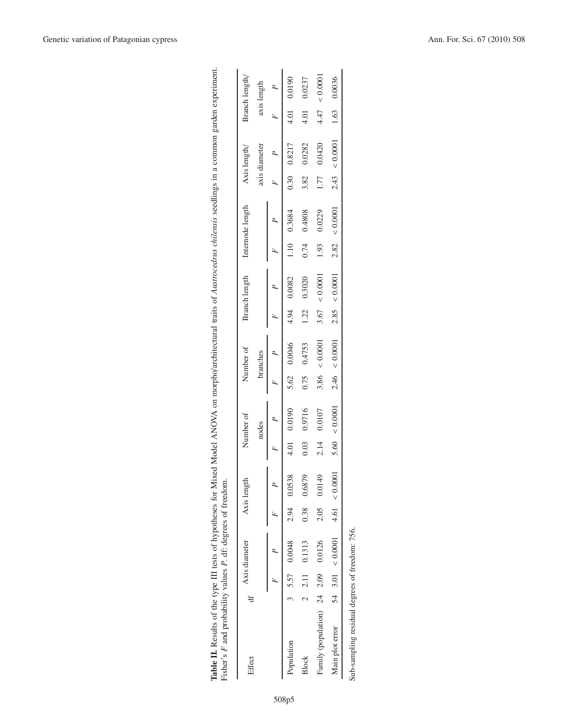| Fisher's r and probability values r . di: degrees of freedom. |  |                                |      |             |      |                   |                   |                |      |                   |      |                   |      |                |
|---------------------------------------------------------------|--|--------------------------------|------|-------------|------|-------------------|-------------------|----------------|------|-------------------|------|-------------------|------|----------------|
| Effect                                                        |  | Axis diameter                  |      | Axis length |      | Number of         | Number of         | Branch length  |      | Internode length  |      | Axis length/      |      | Branch length/ |
|                                                               |  |                                |      |             |      | nodes             | branches          |                |      |                   |      | axis diameter     |      | axis length    |
|                                                               |  |                                |      |             |      |                   |                   | $\overline{a}$ |      | $\overline{a}$    | L,   | $\overline{P}$    | Ŀ    | A              |
| Population                                                    |  | 3 5.57 0.0048                  |      | 2.94 0.0538 |      | 4.01 0.0190       | 5.62 0.0046       | 4.94  0.0082   |      | 1.10 0.3684       |      | $0.30$ $0.8217$   |      | 4.01 0.0190    |
| Block                                                         |  | 2.11 0.1313                    |      | 0.38 0.6879 | 0.03 | 0.9716            | 0.75 0.4753       | 1.22 0.3020    |      | $0.74$ 0.4808     | 3.82 | 0.0282            | 4.01 | 0.0237         |
| Family (population) $24$ $2.09$ 0.0126                        |  |                                | 2.05 | 0.0149      | 2.14 | 0.0107            | $3.86$ < 0.0001   | 3.67 < 0.0001  | 1.93 | 0.0229            | 1.77 | 0.0420            | 4.47 | < 0.0001       |
| Main plot error                                               |  | 54 3.01 < 0.0001 4.61 < 0.0001 |      |             |      | $5.60 \le 0.0001$ | $2.46 \le 0.0001$ | 2.85 < 0.0001  |      | $2.82 \le 0.0001$ |      | $2.43 \le 0.0001$ | 1.63 | 0.0036         |
| Sub-sampling residual degrees of freedom: 756.                |  |                                |      |             |      |                   |                   |                |      |                   |      |                   |      |                |

<span id="page-4-0"></span>**Table II.** Results of the type III tests of hypotheses for Mixed Model ANOVA on morpho/architectural traits of *Austrocedrus chilensis* seedlings in a common garden experiment. Fisher's Table II. Results of the type III tests of hypotheses for Mixed Model ANOVA on morpho/architectural traits of Austrocedrus chilensis seedlings in a common garden experiment.<br>Fisher's F and probability values P. df: degrees and probability values *P*. df: degrees of freedom.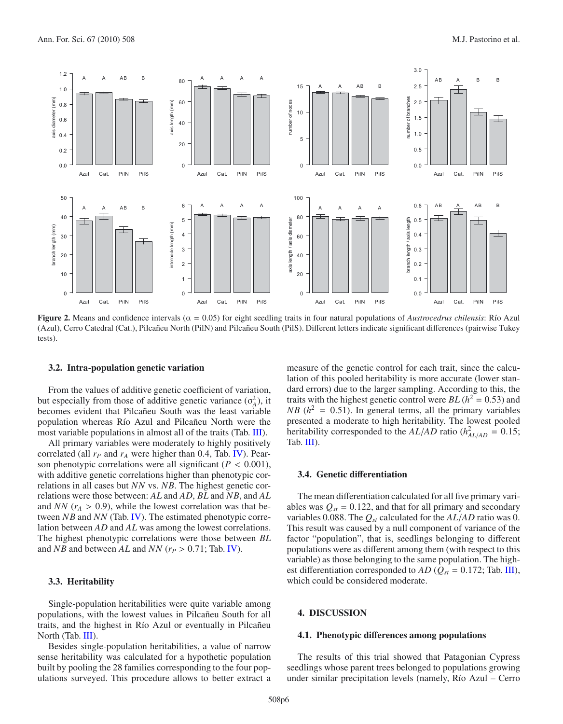<span id="page-5-0"></span>

**Figure 2.** Means and confidence intervals ( $\alpha = 0.05$ ) for eight seedling traits in four natural populations of *Austrocedrus chilensis*: Río Azul (Azul), Cerro Catedral (Cat.), Pilcañeu North (PilN) and Pilcañeu South (PilS). Different letters indicate significant differences (pairwise Tukey tests).

#### **3.2. Intra-population genetic variation**

From the values of additive genetic coefficient of variation, but especially from those of additive genetic variance  $(\sigma_A^2)$ , it becomes evident that Pilcañeu South was the least variable population whereas Río Azul and Pilcañeu North were the most variable populations in almost all of the traits (Tab. [III\)](#page-6-0).

All primary variables were moderately to highly positively correlated (all  $r_P$  and  $r_A$  were higher than 0.4, Tab. [IV\)](#page-6-1). Pearson phenotypic correlations were all significant ( $P < 0.001$ ), with additive genetic correlations higher than phenotypic correlations in all cases but *NN* vs. *NB*. The highest genetic correlations were those between: *AL* and *AD*, *BL* and *NB*, and *AL* and *NN* ( $r_A > 0.9$ ), while the lowest correlation was that between *NB* and *NN* (Tab. [IV\)](#page-6-1). The estimated phenotypic correlation between *AD* and *AL* was among the lowest correlations. The highest phenotypic correlations were those between *BL* and *NB* and between *AL* and *NN* ( $r_P > 0.71$ ; Tab. [IV\)](#page-6-1).

## **3.3. Heritability**

Single-population heritabilities were quite variable among populations, with the lowest values in Pilcañeu South for all traits, and the highest in Río Azul or eventually in Pilcañeu North (Tab. [III\)](#page-6-0).

Besides single-population heritabilities, a value of narrow sense heritability was calculated for a hypothetic population built by pooling the 28 families corresponding to the four populations surveyed. This procedure allows to better extract a

measure of the genetic control for each trait, since the calculation of this pooled heritability is more accurate (lower standard errors) due to the larger sampling. According to this, the traits with the highest genetic control were  $BL(h^2 = 0.53)$  and *NB* ( $h^2$  = 0.51). In general terms, all the primary variables presented a moderate to high heritability. The lowest pooled heritability corresponded to the  $AL/AD$  ratio ( $h^2_{AL/AD} = 0.15$ ; Tab. [III\)](#page-6-0).

## **3.4. Genetic di**ff**erentiation**

The mean differentiation calculated for all five primary variables was  $Q_{st} = 0.122$ , and that for all primary and secondary variables 0.088. The  $Q_{st}$  calculated for the  $AL/AD$  ratio was 0. This result was caused by a null component of variance of the factor "population", that is, seedlings belonging to different populations were as different among them (with respect to this variable) as those belonging to the same population. The highest differentiation corresponded to  $AD$  ( $Q_{st} = 0.172$ ; Tab. [III\)](#page-6-0), which could be considered moderate.

## **4. DISCUSSION**

#### **4.1. Phenotypic di**ff**erences among populations**

The results of this trial showed that Patagonian Cypress seedlings whose parent trees belonged to populations growing under similar precipitation levels (namely, Río Azul – Cerro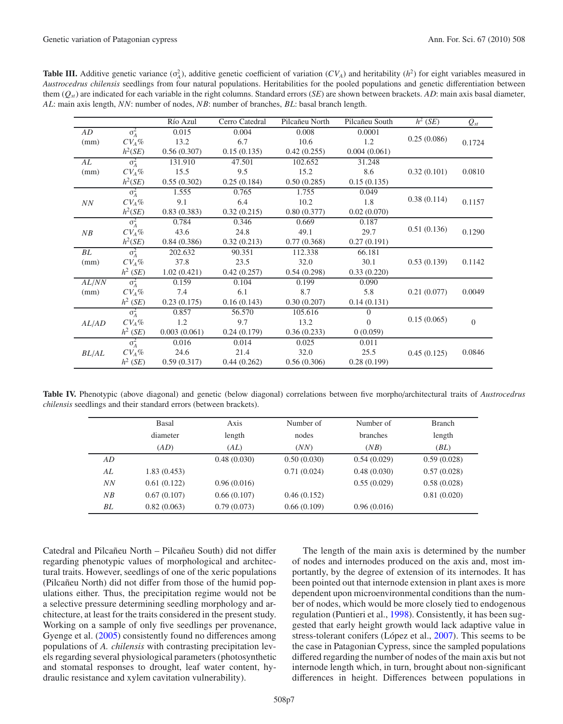|       |              | Río Azul     | Cerro Catedral | Pilcañeu North | Pilcañeu South | $h^2$ (SE)  | $Q_{st}$ |
|-------|--------------|--------------|----------------|----------------|----------------|-------------|----------|
| AD    | $\sigma_A^2$ | 0.015        | 0.004          | 0.008          | 0.0001         |             |          |
| (mm)  | $CV_A\%$     | 13.2         | 6.7            | 10.6           | 1.2            | 0.25(0.086) | 0.1724   |
|       | $h^2(SE)$    | 0.56(0.307)  | 0.15(0.135)    | 0.42(0.255)    | 0.004(0.061)   |             |          |
| AL    | $\sigma_A^2$ | 131.910      | 47.501         | 102.652        | 31.248         |             |          |
| (mm)  | $CV_{A}\%$   | 15.5         | 9.5            | 15.2           | 8.6            | 0.32(0.101) | 0.0810   |
|       | $h^2(SE)$    | 0.55(0.302)  | 0.25(0.184)    | 0.50(0.285)    | 0.15(0.135)    |             |          |
|       | $\sigma_A^2$ | 1.555        | 0.765          | 1.755          | 0.049          |             |          |
| NN    | $CV_A\%$     | 9.1          | 6.4            | 10.2           | 1.8            | 0.38(0.114) | 0.1157   |
|       | $h^2(SE)$    | 0.83(0.383)  | 0.32(0.215)    | 0.80(0.377)    | 0.02(0.070)    |             |          |
|       | $\sigma_A^2$ | 0.784        | 0.346          | 0.669          | 0.187          |             |          |
| NB    | $CV_A\%$     | 43.6         | 24.8           | 49.1           | 29.7           | 0.51(0.136) | 0.1290   |
|       | $h^2(SE)$    | 0.84(0.386)  | 0.32(0.213)    | 0.77(0.368)    | 0.27(0.191)    |             |          |
| BL    | $\sigma_A^2$ | 202.632      | 90.351         | 112.338        | 66.181         |             |          |
| (mm)  | $CV_A\%$     | 37.8         | 23.5           | 32.0           | 30.1           | 0.53(0.139) | 0.1142   |
|       | $h^2$ (SE)   | 1.02(0.421)  | 0.42(0.257)    | 0.54(0.298)    | 0.33(0.220)    |             |          |
| AL/NN | $\sigma_A^2$ | 0.159        | 0.104          | 0.199          | 0.090          |             |          |
| (mm)  | $CV_A\%$     | 7.4          | 6.1            | 8.7            | 5.8            | 0.21(0.077) | 0.0049   |
|       | $h^2$ (SE)   | 0.23(0.175)  | 0.16(0.143)    | 0.30(0.207)    | 0.14(0.131)    |             |          |
|       | $\sigma_A^2$ | 0.857        | 56.570         | 105.616        | $\Omega$       |             | $\Omega$ |
| AL/AD | $CV_A\%$     | 1.2          | 9.7            | 13.2           | $\Omega$       | 0.15(0.065) |          |
|       | $h^2$ (SE)   | 0.003(0.061) | 0.24(0.179)    | 0.36(0.233)    | 0(0.059)       |             |          |
|       | $\sigma_A^2$ | 0.016        | 0.014          | 0.025          | 0.011          |             |          |
| BL/AL | $CV_A\%$     | 24.6         | 21.4           | 32.0           | 25.5           | 0.45(0.125) | 0.0846   |
|       | $h^2$ (SE)   | 0.59(0.317)  | 0.44(0.262)    | 0.56(0.306)    | 0.28(0.199)    |             |          |

<span id="page-6-0"></span>**Table III.** Additive genetic variance  $(\sigma_A^2)$ , additive genetic coefficient of variation  $(CV_A)$  and heritability  $(h^2)$  for eight variables measured in *Austrocedrus chilensis* seedlings from four natural populations. Heritabilities for the pooled populations and genetic differentiation between them  $(O_{\alpha})$  are indicated for each variable in the right columns. Standard errors (*SE*) are shown between brackets. *AD*: main axis basal diameter, *AL*: main axis length, *NN*: number of nodes, *NB*: number of branches, *BL*: basal branch length.

<span id="page-6-1"></span>**Table IV.** Phenotypic (above diagonal) and genetic (below diagonal) correlations between five morpho/architectural traits of *Austrocedrus chilensis* seedlings and their standard errors (between brackets).

|                | Basal       | Axis        | Number of   | Number of       | Branch      |  |
|----------------|-------------|-------------|-------------|-----------------|-------------|--|
|                | diameter    | length      | nodes       | <b>branches</b> | length      |  |
|                | (AD)        | (AL)        | (NN)        | (NB)            | (BL)        |  |
| AD             |             | 0.48(0.030) | 0.50(0.030) | 0.54(0.029)     | 0.59(0.028) |  |
| AL             | 1.83(0.453) |             | 0.71(0.024) | 0.48(0.030)     | 0.57(0.028) |  |
| N <sub>N</sub> | 0.61(0.122) | 0.96(0.016) |             | 0.55(0.029)     | 0.58(0.028) |  |
| NB             | 0.67(0.107) | 0.66(0.107) | 0.46(0.152) |                 | 0.81(0.020) |  |
| BL             | 0.82(0.063) | 0.79(0.073) | 0.66(0.109) | 0.96(0.016)     |             |  |

Catedral and Pilcañeu North – Pilcañeu South) did not differ regarding phenotypic values of morphological and architectural traits. However, seedlings of one of the xeric populations (Pilcañeu North) did not differ from those of the humid populations either. Thus, the precipitation regime would not be a selective pressure determining seedling morphology and architecture, at least for the traits considered in the present study. Working on a sample of only five seedlings per provenance, Gyenge et al. [\(2005](#page-8-7)) consistently found no differences among populations of *A. chilensis* with contrasting precipitation levels regarding several physiological parameters (photosynthetic and stomatal responses to drought, leaf water content, hydraulic resistance and xylem cavitation vulnerability).

The length of the main axis is determined by the number of nodes and internodes produced on the axis and, most importantly, by the degree of extension of its internodes. It has been pointed out that internode extension in plant axes is more dependent upon microenvironmental conditions than the number of nodes, which would be more closely tied to endogenous regulation (Puntieri et al., [1998\)](#page-9-13). Consistently, it has been suggested that early height growth would lack adaptive value in stress-tolerant conifers (López et al., [2007\)](#page-9-14). This seems to be the case in Patagonian Cypress, since the sampled populations differed regarding the number of nodes of the main axis but not internode length which, in turn, brought about non-significant differences in height. Differences between populations in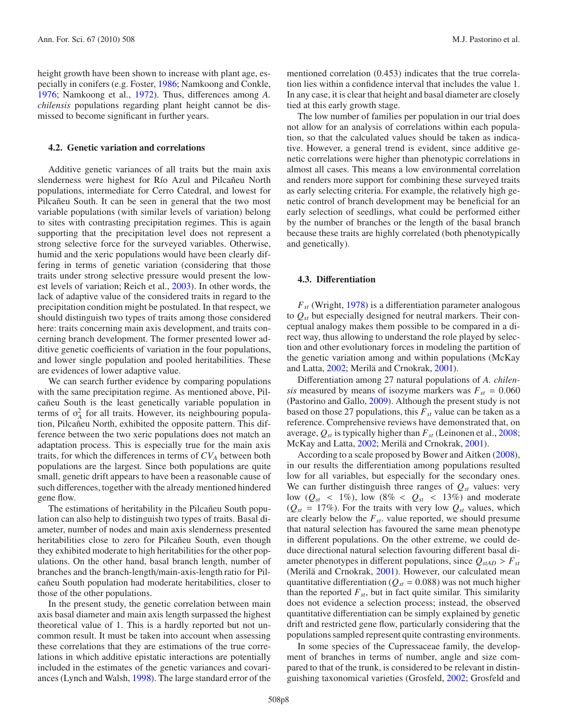height growth have been shown to increase with plant age, especially in conifers (e.g. Foster, [1986;](#page-8-8) Namkoong and Conkle, [1976;](#page-9-15) Namkoong et al., [1972\)](#page-9-16). Thus, differences among *A. chilensis* populations regarding plant height cannot be dismissed to become significant in further years.

#### **4.2. Genetic variation and correlations**

Additive genetic variances of all traits but the main axis slenderness were highest for Río Azul and Pilcañeu North populations, intermediate for Cerro Catedral, and lowest for Pilcañeu South. It can be seen in general that the two most variable populations (with similar levels of variation) belong to sites with contrasting precipitation regimes. This is again supporting that the precipitation level does not represent a strong selective force for the surveyed variables. Otherwise, humid and the xeric populations would have been clearly differing in terms of genetic variation (considering that those traits under strong selective pressure would present the lowest levels of variation; Reich et al., [2003\)](#page-9-17). In other words, the lack of adaptive value of the considered traits in regard to the precipitation condition might be postulated. In that respect, we should distinguish two types of traits among those considered here: traits concerning main axis development, and traits concerning branch development. The former presented lower additive genetic coefficients of variation in the four populations, and lower single population and pooled heritabilities. These are evidences of lower adaptive value.

We can search further evidence by comparing populations with the same precipitation regime. As mentioned above, Pilcañeu South is the least genetically variable population in terms of  $\sigma_A^2$  for all traits. However, its neighbouring population, Pilcañeu North, exhibited the opposite pattern. This difference between the two xeric populations does not match an adaptation process. This is especially true for the main axis traits, for which the differences in terms of  $CV_A$  between both populations are the largest. Since both populations are quite small, genetic drift appears to have been a reasonable cause of such differences, together with the already mentioned hindered gene flow.

The estimations of heritability in the Pilcañeu South population can also help to distinguish two types of traits. Basal diameter, number of nodes and main axis slenderness presented heritabilities close to zero for Pilcañeu South, even though they exhibited moderate to high heritabilities for the other populations. On the other hand, basal branch length, number of branches and the branch-length/main-axis-length ratio for Pilcañeu South population had moderate heritabilities, closer to those of the other populations.

In the present study, the genetic correlation between main axis basal diameter and main axis length surpassed the highest theoretical value of 1. This is a hardly reported but not uncommon result. It must be taken into account when assessing these correlations that they are estimations of the true correlations in which additive epistatic interactions are potentially included in the estimates of the genetic variances and covariances (Lynch and Walsh, [1998\)](#page-9-18). The large standard error of the mentioned correlation (0.453) indicates that the true correlation lies within a confidence interval that includes the value 1. In any case, it is clear that height and basal diameter are closely tied at this early growth stage.

The low number of families per population in our trial does not allow for an analysis of correlations within each population, so that the calculated values should be taken as indicative. However, a general trend is evident, since additive genetic correlations were higher than phenotypic correlations in almost all cases. This means a low environmental correlation and renders more support for combining these surveyed traits as early selecting criteria. For example, the relatively high genetic control of branch development may be beneficial for an early selection of seedlings, what could be performed either by the number of branches or the length of the basal branch because these traits are highly correlated (both phenotypically and genetically).

## **4.3. Di**ff**erentiation**

*Fst* (Wright, [1978](#page-9-19)) is a differentiation parameter analogous to *Qst* but especially designed for neutral markers. Their conceptual analogy makes them possible to be compared in a direct way, thus allowing to understand the role played by selection and other evolutionary forces in modeling the partition of the genetic variation among and within populations (McKay and Latta, [2002;](#page-9-20) Merilä and Crnokrak, [2001\)](#page-9-21).

Differentiation among 27 natural populations of *A. chilensis* measured by means of isozyme markers was  $F_{st} = 0.060$ (Pastorino and Gallo, [2009](#page-9-5)). Although the present study is not based on those 27 populations, this  $F_{st}$  value can be taken as a reference. Comprehensive reviews have demonstrated that, on average,  $Q_{st}$  is typically higher than  $F_{st}$  (Leinonen et al., [2008;](#page-9-22) McKay and Latta, [2002;](#page-9-20) Merilä and Crnokrak, [2001\)](#page-9-21).

According to a scale proposed by Bower and Aitken [\(2008](#page-8-9)), in our results the differentiation among populations resulted low for all variables, but especially for the secondary ones. We can further distinguish three ranges of  $Q_{st}$  values: very low  $(Q_{st} < 1\%)$ , low  $(8\% < Q_{st} < 13\%)$  and moderate  $(Q_{st} = 17\%)$ . For the traits with very low  $Q_{st}$  values, which are clearly below the  $F_{st}$ . value reported, we should presume that natural selection has favoured the same mean phenotype in different populations. On the other extreme, we could deduce directional natural selection favouring different basal diameter phenotypes in different populations, since  $Q_{stab} > F_{st}$ (Merilä and Crnokrak, [2001\)](#page-9-21). However, our calculated mean quantitative differentiation ( $Q_{st}$  = 0.088) was not much higher than the reported  $F_{st}$ , but in fact quite similar. This similarity does not evidence a selection process; instead, the observed quantitative differentiation can be simply explained by genetic drift and restricted gene flow, particularly considering that the populations sampled represent quite contrasting environments.

In some species of the Cupressaceae family, the development of branches in terms of number, angle and size compared to that of the trunk, is considered to be relevant in distinguishing taxonomical varieties (Grosfeld, [2002;](#page-8-10) Grosfeld and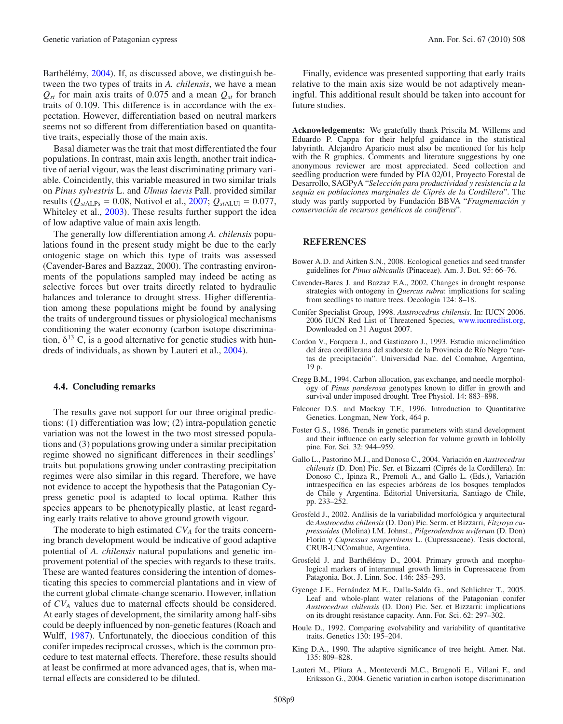Basal diameter was the trait that most differentiated the four populations. In contrast, main axis length, another trait indicative of aerial vigour, was the least discriminating primary variable. Coincidently, this variable measured in two similar trials on *Pinus sylvestris* L. and *Ulmus laevis* Pall. provided similar results ( $Q_{\text{stALPs}} = 0.08$ , Notivol et al., [2007;](#page-9-23)  $Q_{\text{stALUI}} = 0.077$ , Whiteley et al., [2003\)](#page-9-24). These results further support the idea of low adaptive value of main axis length.

The generally low differentiation among *A. chilensis* populations found in the present study might be due to the early ontogenic stage on which this type of traits was assessed (Cavender-Bares and Bazzaz, 2000). The contrasting environments of the populations sampled may indeed be acting as selective forces but over traits directly related to hydraulic balances and tolerance to drought stress. Higher differentiation among these populations might be found by analysing the traits of underground tissues or physiological mechanisms conditioning the water economy (carbon isotope discrimination,  $\delta^{13}$  C, is a good alternative for genetic studies with hundreds of individuals, as shown by Lauteri et al., [2004](#page-8-12)).

## **4.4. Concluding remarks**

The results gave not support for our three original predictions: (1) differentiation was low; (2) intra-population genetic variation was not the lowest in the two most stressed populations and (3) populations growing under a similar precipitation regime showed no significant differences in their seedlings' traits but populations growing under contrasting precipitation regimes were also similar in this regard. Therefore, we have not evidence to accept the hypothesis that the Patagonian Cypress genetic pool is adapted to local optima. Rather this species appears to be phenotypically plastic, at least regarding early traits relative to above ground growth vigour.

The moderate to high estimated  $CV_A$  for the traits concerning branch development would be indicative of good adaptive potential of *A. chilensis* natural populations and genetic improvement potential of the species with regards to these traits. These are wanted features considering the intention of domesticating this species to commercial plantations and in view of the current global climate-change scenario. However, inflation of *CVA* values due to maternal effects should be considered. At early stages of development, the similarity among half-sibs could be deeply influenced by non-genetic features (Roach and Wulff, [1987\)](#page-9-25). Unfortunately, the dioecious condition of this conifer impedes reciprocal crosses, which is the common procedure to test maternal effects. Therefore, these results should at least be confirmed at more advanced ages, that is, when maternal effects are considered to be diluted.

Finally, evidence was presented supporting that early traits relative to the main axis size would be not adaptively meaningful. This additional result should be taken into account for future studies.

**Acknowledgements:** We gratefully thank Priscila M. Willems and Eduardo P. Cappa for their helpful guidance in the statistical labyrinth. Alejandro Aparicio must also be mentioned for his help with the R graphics. Comments and literature suggestions by one anonymous reviewer are most appreciated. Seed collection and seedling production were funded by PIA 02/01, Proyecto Forestal de Desarrollo, SAGPyA "*Selección para productividad y resistencia a la sequía en poblaciones marginales de Ciprés de la Cordillera*". The study was partly supported by Fundación BBVA "*Fragmentación y conservación de recursos genéticos de coníferas*".

#### **REFERENCES**

- <span id="page-8-9"></span>Bower A.D. and Aitken S.N., 2008. Ecological genetics and seed transfer guidelines for *Pinus albicaulis* (Pinaceae). Am. J. Bot. 95: 66–76.
- Cavender-Bares J. and Bazzaz F.A., 2002. Changes in drought response strategies with ontogeny in *Quercus rubra*: implications for scaling from seedlings to mature trees. Oecologia 124: 8–18.
- <span id="page-8-0"></span>Conifer Specialist Group, 1998. *Austrocedrus chilensis*. In: IUCN 2006. 2006 IUCN Red List of Threatened Species, [www.iucnredlist.org,](www.iucnredlist.org) Downloaded on 31 August 2007.
- <span id="page-8-4"></span>Cordon V., Forquera J., and Gastiazoro J., 1993. Estudio microclimático del área cordillerana del sudoeste de la Provincia de Río Negro "cartas de precipitación". Universidad Nac. del Comahue, Argentina, 19 p.
- <span id="page-8-3"></span>Cregg B.M., 1994. Carbon allocation, gas exchange, and needle morphology of *Pinus ponderosa* genotypes known to differ in growth and survival under imposed drought. Tree Physiol. 14: 883–898.
- <span id="page-8-6"></span>Falconer D.S. and Mackay T.F., 1996. Introduction to Quantitative Genetics. Longman, New York, 464 p.
- <span id="page-8-8"></span>Foster G.S., 1986. Trends in genetic parameters with stand development and their influence on early selection for volume growth in loblolly pine. For. Sci. 32: 944–959.
- <span id="page-8-1"></span>Gallo L., Pastorino M.J., and Donoso C., 2004. Variación en *Austrocedrus chilensis* (D. Don) Pic. Ser. et Bizzarri (Ciprés de la Cordillera). In: Donoso C., Ipinza R., Premoli A., and Gallo L. (Eds.), Variación intraespecífica en las especies arbóreas de los bosques templados de Chile y Argentina. Editorial Universitaria, Santiago de Chile, pp. 233–252.
- <span id="page-8-10"></span>Grosfeld J., 2002. Análisis de la variabilidad morfológica y arquitectural de *Austrocedus chilensis* (D. Don) Pic. Serm. et Bizzarri, *Fitzroya cupressoides* (Molina) I.M. Johnst., *Pilgerodendron uviferum* (D. Don) Florin y *Cupressus sempervirens* L. (Cupressaceae). Tesis doctoral, CRUB-UNComahue, Argentina.
- <span id="page-8-11"></span>Grosfeld J. and Barthélémy D., 2004. Primary growth and morphological markers of interannual growth limits in Cupressaceae from Patagonia. Bot. J. Linn. Soc. 146: 285–293.
- <span id="page-8-7"></span>Gyenge J.E., Fernández M.E., Dalla-Salda G., and Schlichter T., 2005. Leaf and whole-plant water relations of the Patagonian conifer *Austrocedrus chilensis* (D. Don) Pic. Ser. et Bizzarri: implications on its drought resistance capacity. Ann. For. Sci. 62: 297–302.
- <span id="page-8-5"></span>Houle D., 1992. Comparing evolvability and variability of quantitative traits. Genetics 130: 195–204.
- <span id="page-8-2"></span>King D.A., 1990. The adaptive significance of tree height. Amer. Nat. 135: 809–828.
- <span id="page-8-12"></span>Lauteri M., Pliura A., Monteverdi M.C., Brugnoli E., Villani F., and Eriksson G., 2004. Genetic variation in carbon isotope discrimination